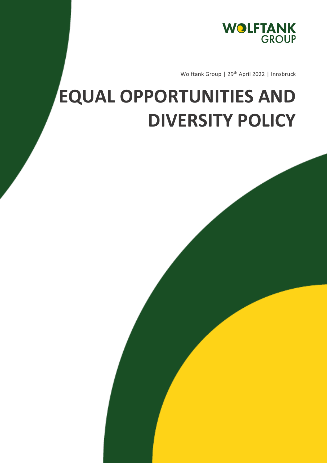

Wolftank Group | 29<sup>th</sup> April 2022 | Innsbruck

## **EQUAL OPPORTUNITIES AND DIVERSITY POLICY**